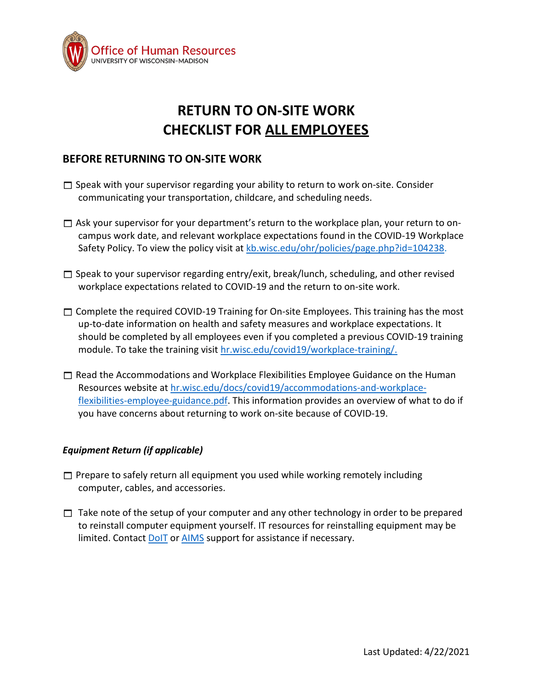

# **RETURN TO ON-SITE WORK CHECKLIST FOR ALL EMPLOYEES**

## **BEFORE RETURNING TO ON-SITE WORK**

- $\square$  Speak with your supervisor regarding your ability to return to work on-site. Consider communicating your transportation, childcare, and scheduling needs.
- $\Box$  Ask your supervisor for your department's return to the workplace plan, your return to oncampus work date, and relevant workplace expectations found in the COVID-19 Workplace Safety Policy. To view the policy visit at [kb.wisc.edu/ohr/policies/page.php?id=104238.](https://kb.wisc.edu/ohr/policies/page.php?id=104238)
- $\Box$  Speak to your supervisor regarding entry/exit, break/lunch, scheduling, and other revised workplace expectations related to COVID-19 and the return to on-site work.
- $\Box$  Complete the required COVID-19 Training for On-site Employees. This training has the most up-to-date information on health and safety measures and workplace expectations. It should be completed by all employees even if you completed a previous COVID-19 training module. To take the training visit [hr.wisc.edu/covid19/workplace-training/.](https://hr.wisc.edu/covid19/workplace-training/)
- $\Box$  Read the Accommodations and Workplace Flexibilities Employee Guidance on the Human Resources website at [hr.wisc.edu/docs/covid19/accommodations-and-workplace](https://hr.wisc.edu/docs/covid19/accommodations-and-workplace-flexibilities-employee-guidance.pdf)[flexibilities-employee-guidance.pdf.](https://hr.wisc.edu/docs/covid19/accommodations-and-workplace-flexibilities-employee-guidance.pdf) This information provides an overview of what to do if you have concerns about returning to work on-site because of COVID-19.

### *Equipment Return (if applicable)*

- $\Box$  Prepare to safely return all equipment you used while working remotely including computer, cables, and accessories.
- $\Box$  Take note of the setup of your computer and any other technology in order to be prepared to reinstall computer equipment yourself. IT resources for reinstalling equipment may be limited. Contact **[DoIT](https://it.wisc.edu/services/help-desk/)** or **[AIMS](https://help.aims.wisc.edu/CherwellPortal/AIMS?_=44abdf20&0)** support for assistance if necessary.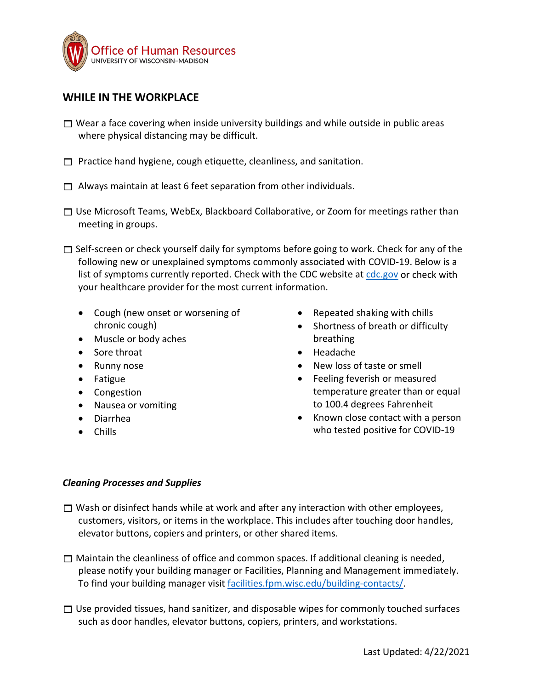

## **WHILE IN THE WORKPLACE**

- $\Box$  Wear a face covering when inside university buildings and while outside in public areas where physical distancing may be difficult.
- $\Box$  Practice hand hygiene, cough etiquette, cleanliness, and sanitation.
- $\Box$  Always maintain at least 6 feet separation from other individuals.
- $\Box$  Use Microsoft Teams, WebEx, Blackboard Collaborative, or Zoom for meetings rather than meeting in groups.
- $\Box$  Self-screen or check yourself daily for symptoms before going to work. Check for any of the following new or unexplained symptoms commonly associated with COVID-19. Below is a list of symptoms currently reported. Check with the CDC website a[t cdc.gov](https://www.cdc.gov/) or check with your healthcare provider for the most current information.
	- Cough (new onset or worsening of chronic cough)
	- Muscle or body aches
	- Sore throat
	- Runny nose
	- Fatigue
	- Congestion
	- Nausea or vomiting
	- Diarrhea
	- Chills
- Repeated shaking with chills
- Shortness of breath or difficulty breathing
- Headache
- New loss of taste or smell
- Feeling feverish or measured temperature greater than or equal to 100.4 degrees Fahrenheit
- Known close contact with a person who tested positive for COVID-19

#### *Cleaning Processes and Supplies*

- $\Box$  Wash or disinfect hands while at work and after any interaction with other employees, customers, visitors, or items in the workplace. This includes after touching door handles, elevator buttons, copiers and printers, or other shared items.
- $\Box$  Maintain the cleanliness of office and common spaces. If additional cleaning is needed, please notify your building manager or Facilities, Planning and Management immediately. To find your building manager visit [facilities.fpm.wisc.edu/building-contacts/.](https://facilities.fpm.wisc.edu/building-contacts/)
- $\Box$  Use provided tissues, hand sanitizer, and disposable wipes for commonly touched surfaces such as door handles, elevator buttons, copiers, printers, and workstations.